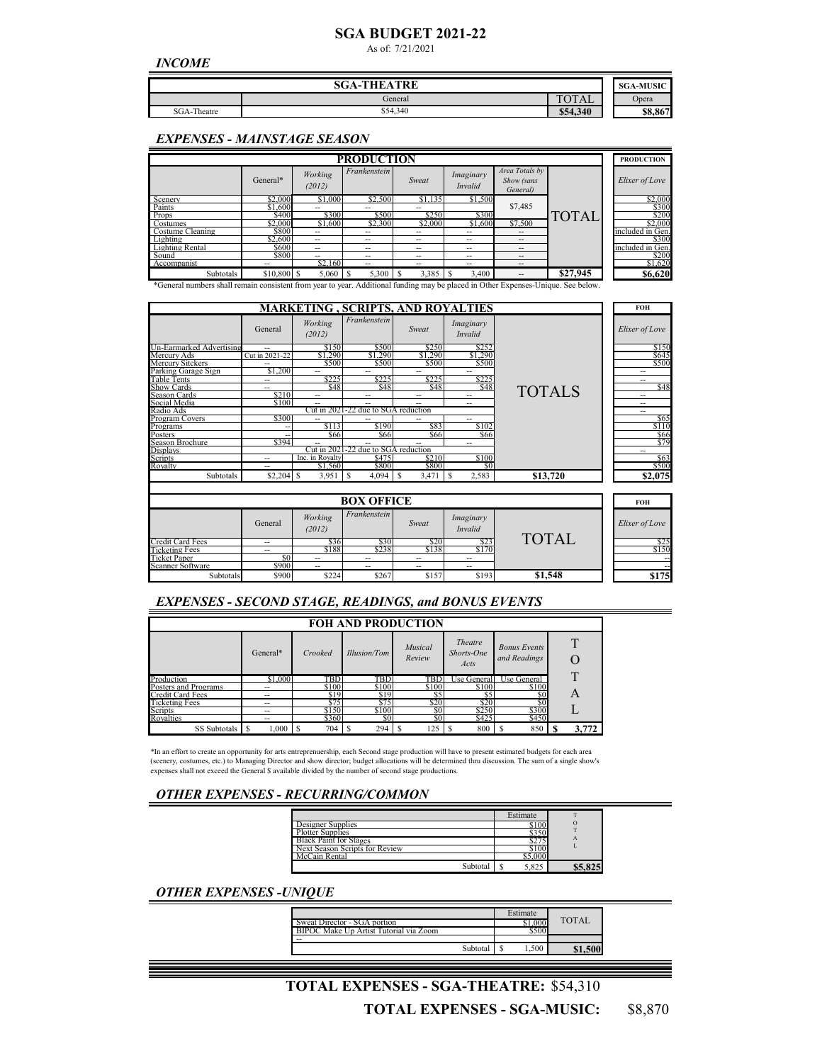# **SGA BUDGET 2021-22**

As of: 7/21/2021

*INCOME*

| <b>SGA-THEATRE</b> |          |                                              |         |  |  |  |
|--------------------|----------|----------------------------------------------|---------|--|--|--|
|                    | General  | $T\cap T$ A I<br>$H$ $\sim$ $H$ .<br>$\cdot$ | Opera   |  |  |  |
| SGA-Theatre        | \$54,340 | \$54,340                                     | \$8,867 |  |  |  |

#### *EXPENSES - MAINSTAGE SEASON*

|                                                                                        | <b>PRODUCTION</b>       |                   |              |                          |                             |                                                                                                                                                                                                                                                                                       |                    |  |                  |
|----------------------------------------------------------------------------------------|-------------------------|-------------------|--------------|--------------------------|-----------------------------|---------------------------------------------------------------------------------------------------------------------------------------------------------------------------------------------------------------------------------------------------------------------------------------|--------------------|--|------------------|
|                                                                                        | General*                | Working<br>(2012) | Frankenstein | Sweat                    | Imaginary<br><b>Invalid</b> | Area Totals by<br>Show (sans<br>General)                                                                                                                                                                                                                                              |                    |  | Elixer of Love   |
| Scenery                                                                                | \$2,000                 | \$1,000           | \$2,500      | \$1,135                  | \$1,500                     |                                                                                                                                                                                                                                                                                       |                    |  | \$2,000          |
| Paints                                                                                 | \$1,600                 | --                | --           | --                       |                             | \$7,485                                                                                                                                                                                                                                                                               |                    |  | \$300            |
| Props                                                                                  | \$400                   | \$300             | \$500        | \$250                    | \$300                       |                                                                                                                                                                                                                                                                                       | <b>TOTAL</b>       |  | \$200            |
| Costumes                                                                               | \$2,000                 | \$1,600           | \$2,300      | \$2,000                  | \$1,600                     | \$7,500                                                                                                                                                                                                                                                                               |                    |  | \$2,000          |
| Costume Cleaning                                                                       | \$800                   | --                | --           | --                       | --                          | $\overline{a}$                                                                                                                                                                                                                                                                        |                    |  | included in Gen. |
| Lighting                                                                               | \$2,600                 | $\qquad \qquad -$ | --           | --                       | --                          | $\overline{\phantom{a}}$                                                                                                                                                                                                                                                              |                    |  | \$300            |
| <b>Lighting Rental</b>                                                                 | \$600                   | $\qquad \qquad -$ | --           | $\overline{\phantom{a}}$ | --                          | $\overline{\phantom{a}}$                                                                                                                                                                                                                                                              |                    |  | included in Gen. |
| Sound                                                                                  | <b>S800</b>             | $- -$             | --           | --                       | --                          | $\overline{\phantom{m}}$                                                                                                                                                                                                                                                              |                    |  | \$200            |
| Accompanist                                                                            |                         | \$2.160           | --           | --                       | --                          | --                                                                                                                                                                                                                                                                                    |                    |  | \$1,620          |
| Subtotals<br>$\mathbf{A}$ and $\mathbf{A}$ and $\mathbf{A}$ and $\mathbf{A}$<br>$\sim$ | \$10,800 \$<br>$\cdots$ |                   | 5,300        | 3,385<br>$\cdots$        | 3.400<br>S<br>$1.1 - 1.1$   | $-$<br>$\mathbf{v}$ $\mathbf{v}$ $\mathbf{v}$<br><b>The Contract of the Contract of the Contract of the Contract of the Contract of the Contract of the Contract of the Contract of the Contract of the Contract of the Contract of the Contract of the Contract of the Contract </b> | \$27,945<br>$\sim$ |  | \$6,620          |

\*General numbers shall remain consistent from year to year. Additional funding may be placed in Other Expenses-Unique. See below.

|                          |                |                   |                                     |            | <b>MARKETING , SCRIPTS, AND ROYALTIES</b> |               | <b>FOH</b>     |
|--------------------------|----------------|-------------------|-------------------------------------|------------|-------------------------------------------|---------------|----------------|
|                          | General        | Working<br>(2012) | Frankenstein                        | Sweat      | Imaginary<br><b>Invalid</b>               |               | Elixer of Love |
| Un-Earmarked Advertising | $-$            | \$150             | \$500                               | \$250      | \$252                                     |               | \$150          |
| Mercury Ads              | Cut in 2021-22 | \$1,290           | \$1,290                             | \$1,290    | \$1,290                                   |               | \$645          |
| Mercury Sitckers         | $-$            | \$500             | \$500                               | \$500      | \$500                                     |               | \$500          |
| Parking Garage Sign      | \$1,200        | --                | --                                  | --         | --                                        |               | --             |
| <b>Table Tents</b>       | --             | \$225             | \$225                               | \$225      | \$225                                     |               |                |
| <b>Show Cards</b>        | $-$            | \$48              | \$48                                | \$48       | \$48                                      | <b>TOTALS</b> | \$48           |
| Season Cards             | \$210          | --                | --                                  | --         | --                                        |               | --             |
| Social Media             | \$100          | $\sim$            | --                                  | $-$        | --                                        |               | --             |
| Radio Ads                |                |                   | Cut in 2021-22 due to SGA reduction |            |                                           |               | --             |
| Program Covers           | \$300          | $\overline{a}$    | --                                  | --         | --                                        |               | \$65           |
| Programs                 |                | S113              | \$190                               | \$83       | \$102                                     |               | \$110          |
| Posters                  |                | \$66              | \$66                                | \$66       | \$66                                      |               | \$66           |
| Season Brochure          | \$394          | --                | --                                  |            | --                                        |               | \$79           |
| <b>Displays</b>          |                | Cut in 2021       | -22 due to SGA reduction            |            |                                           |               | --             |
| Scripts                  | $-$            | Inc. in Rovalty   | \$475                               | \$210      | \$100                                     |               | \$63           |
| Rovalty                  | $-$            | \$1.560           | \$800                               | \$800      | \$0                                       |               | \$500          |
| Subtotals                |                | 3,951             | S<br>4,094                          | 3,471<br>S | 2,583                                     | \$13.720      | \$2,075        |

|                       | <b>BOX OFFICE</b>        |                          |              |                          |                             |              |  |                    |
|-----------------------|--------------------------|--------------------------|--------------|--------------------------|-----------------------------|--------------|--|--------------------|
|                       | General                  | Working<br>(2012)        | Frankenstein | Sweat                    | Imaginary<br><b>Invalid</b> |              |  | Elixer of Love     |
| Credit Card Fees      | $\overline{\phantom{a}}$ | \$36                     | \$30         | \$20                     | \$23                        | <b>TOTAI</b> |  | $\frac{$25}{$150}$ |
| <b>Ticketing Fees</b> | $-$                      | \$188                    | \$238        | \$138                    | \$170                       |              |  |                    |
| <b>Ticket Paper</b>   |                          | $\overline{\phantom{m}}$ | --           | $\overline{\phantom{a}}$ | --                          |              |  | $- -$              |
| Scanner Software      | \$900                    | $\overline{\phantom{a}}$ | --           | $- -$                    | --                          |              |  | $-1$               |
| Subtotals             | \$900                    | \$224                    | \$267        | \$157                    | \$193                       | \$1,548      |  | \$175              |

## *EXPENSES - SECOND STAGE, READINGS, and BONUS EVENTS*

| <b>FOH AND PRODUCTION</b> |                          |         |              |                          |                                      |                                     |       |  |  |
|---------------------------|--------------------------|---------|--------------|--------------------------|--------------------------------------|-------------------------------------|-------|--|--|
|                           | General*                 | Crooked | Illusion/Tom | <b>Musical</b><br>Review | <b>Theatre</b><br>Shorts-One<br>Acts | <b>Bonus Events</b><br>and Readings |       |  |  |
| Production                | \$1,000                  | TBD     | TBD          | TBD                      | Use General                          | Use General                         |       |  |  |
| Posters and Programs      | --                       | \$100   | \$100        | \$100                    | \$100                                | \$100                               |       |  |  |
| Credit Card Fees          | --                       | \$19    | \$19         | S5                       | S5                                   | S0                                  | A     |  |  |
| <b>Ticketing Fees</b>     | --                       | \$75    | \$75         | \$20                     | \$20                                 | \$0                                 |       |  |  |
| Scripts                   | $\overline{\phantom{m}}$ | \$150   | \$100        | \$0                      | \$250                                | \$300                               |       |  |  |
| Rovalties                 | --                       | \$360   | S0           | SO.                      | \$425                                | \$450                               |       |  |  |
| SS Subtotals              | 1.000                    | 704     | 294          | 125                      | 800                                  | 850                                 | 3,772 |  |  |

\*In an effort to create an opportunity for arts entreprenuership, each Second stage production will have to present estimated budgets for each area (scenery, costumes, etc.) to Managing Director and show director; budget allocations will be determined thru discussion. The sum of a single show's<br>expenses shall not exceed the General \$ available divided by the number of

#### *OTHER EXPENSES - RECURRING/COMMON*

|                                |          | Estimate |   |
|--------------------------------|----------|----------|---|
| Designer Supplies              |          |          |   |
| <b>Plotter Supplies</b>        |          |          |   |
| <b>Black Paint for Stages</b>  |          |          | А |
| Next Season Scripts for Review |          |          |   |
| $\sqrt{C_{\alpha}$ in Rental   |          |          |   |
|                                | Subtotal |          |   |

## *OTHER EXPENSES -UNIQUE*

| Estimate |       |
|----------|-------|
|          | TOTAL |
|          |       |
|          |       |
| Subtotal | .500  |

#### \$54,310 **TOTAL EXPENSES - SGA-THEATRE:** \$8,870 **TOTAL EXPENSES - SGA-MUSIC:**